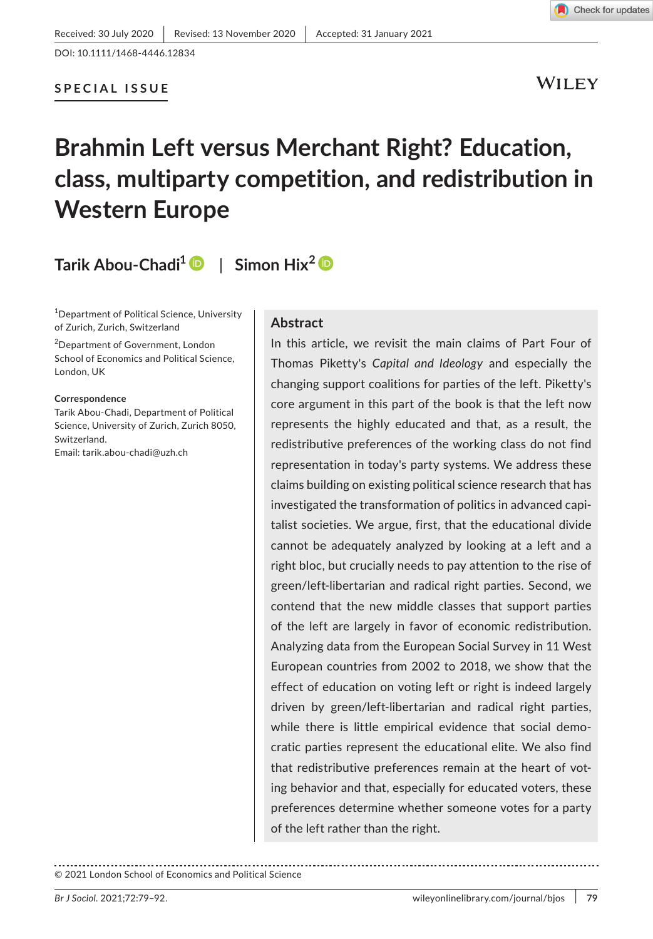DOI: 10.1111/1468-4446.12834

# **SPECIAL ISSUE**

WILEY

# **Brahmin Left versus Merchant Right? Education, class, multiparty competition, and redistribution in Western Europe**

# **Tarik Abou-Chadi[1](https://orcid.org/0000-0002-5529-2616)** | **Simon Hix[2](https://orcid.org/0000-0002-3116-5292)**

1 Department of Political Science, University of Zurich, Zurich, Switzerland

2 Department of Government, London School of Economics and Political Science, London, UK

**Correspondence**

Tarik Abou-Chadi, Department of Political Science, University of Zurich, Zurich 8050, Switzerland. Email: [tarik.abou-chadi@uzh.ch](mailto:tarik.abou-chadi@uzh.ch)

#### **Abstract**

In this article, we revisit the main claims of Part Four of Thomas Piketty's *Capital and Ideology* and especially the changing support coalitions for parties of the left. Piketty's core argument in this part of the book is that the left now represents the highly educated and that, as a result, the redistributive preferences of the working class do not find representation in today's party systems. We address these claims building on existing political science research that has investigated the transformation of politics in advanced capitalist societies. We argue, first, that the educational divide cannot be adequately analyzed by looking at a left and a right bloc, but crucially needs to pay attention to the rise of green/left-libertarian and radical right parties. Second, we contend that the new middle classes that support parties of the left are largely in favor of economic redistribution. Analyzing data from the European Social Survey in 11 West European countries from 2002 to 2018, we show that the effect of education on voting left or right is indeed largely driven by green/left-libertarian and radical right parties, while there is little empirical evidence that social democratic parties represent the educational elite. We also find that redistributive preferences remain at the heart of voting behavior and that, especially for educated voters, these preferences determine whether someone votes for a party of the left rather than the right.

© 2021 London School of Economics and Political Science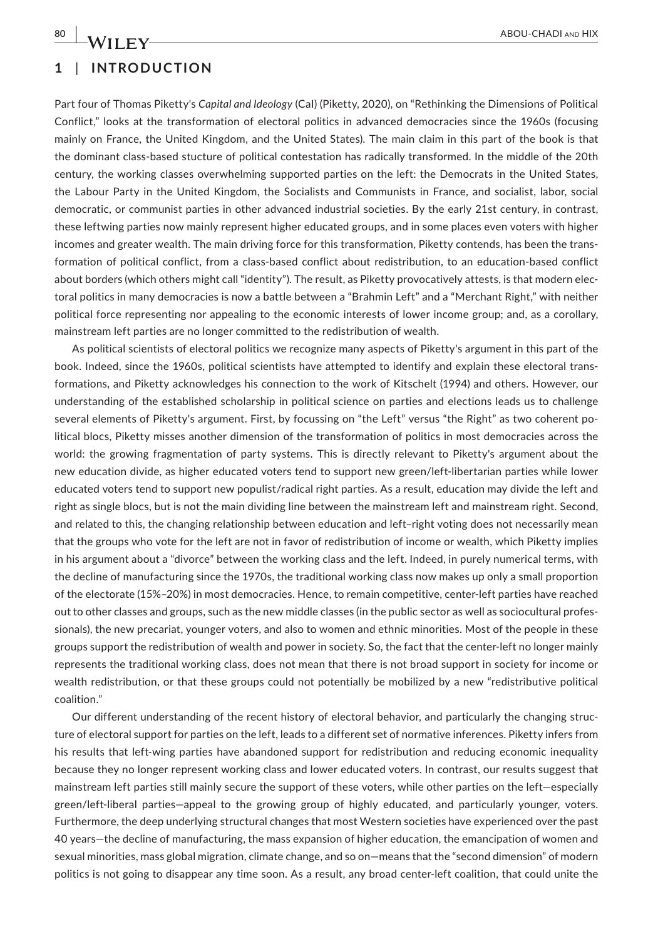# **1** | **INTRODUCTION**

Part four of Thomas Piketty's *Capital and Ideology* (CaI) (Piketty, 2020), on "Rethinking the Dimensions of Political Conflict," looks at the transformation of electoral politics in advanced democracies since the 1960s (focusing mainly on France, the United Kingdom, and the United States). The main claim in this part of the book is that the dominant class-based stucture of political contestation has radically transformed. In the middle of the 20th century, the working classes overwhelming supported parties on the left: the Democrats in the United States, the Labour Party in the United Kingdom, the Socialists and Communists in France, and socialist, labor, social democratic, or communist parties in other advanced industrial societies. By the early 21st century, in contrast, these leftwing parties now mainly represent higher educated groups, and in some places even voters with higher incomes and greater wealth. The main driving force for this transformation, Piketty contends, has been the transformation of political conflict, from a class-based conflict about redistribution, to an education-based conflict about borders (which others might call "identity"). The result, as Piketty provocatively attests, is that modern electoral politics in many democracies is now a battle between a "Brahmin Left" and a "Merchant Right," with neither political force representing nor appealing to the economic interests of lower income group; and, as a corollary, mainstream left parties are no longer committed to the redistribution of wealth.

As political scientists of electoral politics we recognize many aspects of Piketty's argument in this part of the book. Indeed, since the 1960s, political scientists have attempted to identify and explain these electoral transformations, and Piketty acknowledges his connection to the work of Kitschelt (1994) and others. However, our understanding of the established scholarship in political science on parties and elections leads us to challenge several elements of Piketty's argument. First, by focussing on "the Left" versus "the Right" as two coherent political blocs, Piketty misses another dimension of the transformation of politics in most democracies across the world: the growing fragmentation of party systems. This is directly relevant to Piketty's argument about the new education divide, as higher educated voters tend to support new green/left-libertarian parties while lower educated voters tend to support new populist/radical right parties. As a result, education may divide the left and right as single blocs, but is not the main dividing line between the mainstream left and mainstream right. Second, and related to this, the changing relationship between education and left–right voting does not necessarily mean that the groups who vote for the left are not in favor of redistribution of income or wealth, which Piketty implies in his argument about a "divorce" between the working class and the left. Indeed, in purely numerical terms, with the decline of manufacturing since the 1970s, the traditional working class now makes up only a small proportion of the electorate (15%–20%) in most democracies. Hence, to remain competitive, center-left parties have reached out to other classes and groups, such as the new middle classes (in the public sector as well as sociocultural professionals), the new precariat, younger voters, and also to women and ethnic minorities. Most of the people in these groups support the redistribution of wealth and power in society. So, the fact that the center-left no longer mainly represents the traditional working class, does not mean that there is not broad support in society for income or wealth redistribution, or that these groups could not potentially be mobilized by a new "redistributive political coalition."

Our different understanding of the recent history of electoral behavior, and particularly the changing structure of electoral support for parties on the left, leads to a different set of normative inferences. Piketty infers from his results that left-wing parties have abandoned support for redistribution and reducing economic inequality because they no longer represent working class and lower educated voters. In contrast, our results suggest that mainstream left parties still mainly secure the support of these voters, while other parties on the left—especially green/left-liberal parties—appeal to the growing group of highly educated, and particularly younger, voters. Furthermore, the deep underlying structural changes that most Western societies have experienced over the past 40 years—the decline of manufacturing, the mass expansion of higher education, the emancipation of women and sexual minorities, mass global migration, climate change, and so on—means that the "second dimension" of modern politics is not going to disappear any time soon. As a result, any broad center-left coalition, that could unite the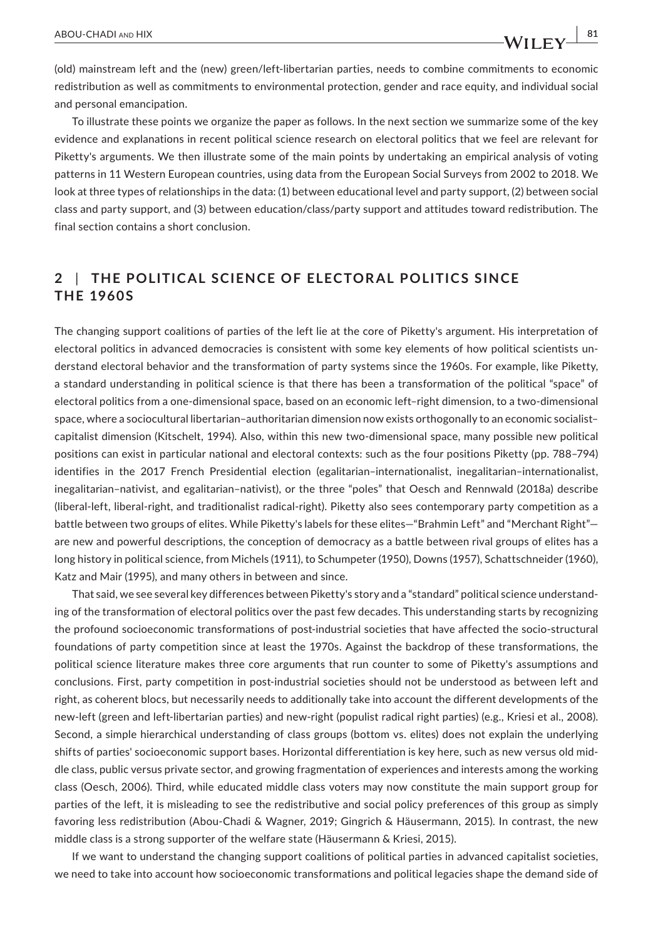(old) mainstream left and the (new) green/left-libertarian parties, needs to combine commitments to economic redistribution as well as commitments to environmental protection, gender and race equity, and individual social and personal emancipation.

To illustrate these points we organize the paper as follows. In the next section we summarize some of the key evidence and explanations in recent political science research on electoral politics that we feel are relevant for Piketty's arguments. We then illustrate some of the main points by undertaking an empirical analysis of voting patterns in 11 Western European countries, using data from the European Social Surveys from 2002 to 2018. We look at three types of relationships in the data: (1) between educational level and party support, (2) between social class and party support, and (3) between education/class/party support and attitudes toward redistribution. The final section contains a short conclusion.

# **2** | **THE POLITIC AL SCIENCE OF ELEC TOR AL POLITIC S SINCE THE 1960S**

The changing support coalitions of parties of the left lie at the core of Piketty's argument. His interpretation of electoral politics in advanced democracies is consistent with some key elements of how political scientists understand electoral behavior and the transformation of party systems since the 1960s. For example, like Piketty, a standard understanding in political science is that there has been a transformation of the political "space" of electoral politics from a one-dimensional space, based on an economic left–right dimension, to a two-dimensional space, where a sociocultural libertarian–authoritarian dimension now exists orthogonally to an economic socialist– capitalist dimension (Kitschelt, 1994). Also, within this new two-dimensional space, many possible new political positions can exist in particular national and electoral contexts: such as the four positions Piketty (pp. 788–794) identifies in the 2017 French Presidential election (egalitarian–internationalist, inegalitarian–internationalist, inegalitarian–nativist, and egalitarian–nativist), or the three "poles" that Oesch and Rennwald (2018a) describe (liberal-left, liberal-right, and traditionalist radical-right). Piketty also sees contemporary party competition as a battle between two groups of elites. While Piketty's labels for these elites—"Brahmin Left" and "Merchant Right" are new and powerful descriptions, the conception of democracy as a battle between rival groups of elites has a long history in political science, from Michels (1911), to Schumpeter (1950), Downs (1957), Schattschneider (1960), Katz and Mair (1995), and many others in between and since.

That said, we see several key differences between Piketty's story and a "standard" political science understanding of the transformation of electoral politics over the past few decades. This understanding starts by recognizing the profound socioeconomic transformations of post-industrial societies that have affected the socio-structural foundations of party competition since at least the 1970s. Against the backdrop of these transformations, the political science literature makes three core arguments that run counter to some of Piketty's assumptions and conclusions. First, party competition in post-industrial societies should not be understood as between left and right, as coherent blocs, but necessarily needs to additionally take into account the different developments of the new-left (green and left-libertarian parties) and new-right (populist radical right parties) (e.g., Kriesi et al., 2008). Second, a simple hierarchical understanding of class groups (bottom vs. elites) does not explain the underlying shifts of parties' socioeconomic support bases. Horizontal differentiation is key here, such as new versus old middle class, public versus private sector, and growing fragmentation of experiences and interests among the working class (Oesch, 2006). Third, while educated middle class voters may now constitute the main support group for parties of the left, it is misleading to see the redistributive and social policy preferences of this group as simply favoring less redistribution (Abou-Chadi & Wagner, 2019; Gingrich & Häusermann, 2015). In contrast, the new middle class is a strong supporter of the welfare state (Häusermann & Kriesi, 2015).

If we want to understand the changing support coalitions of political parties in advanced capitalist societies, we need to take into account how socioeconomic transformations and political legacies shape the demand side of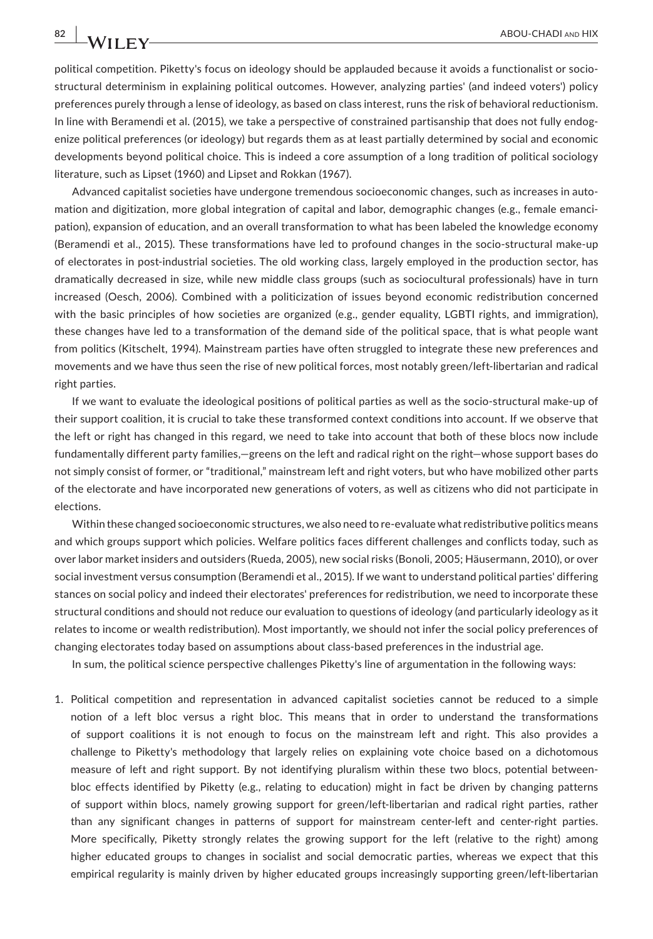political competition. Piketty's focus on ideology should be applauded because it avoids a functionalist or sociostructural determinism in explaining political outcomes. However, analyzing parties' (and indeed voters') policy preferences purely through a lense of ideology, as based on class interest, runs the risk of behavioral reductionism. In line with Beramendi et al. (2015), we take a perspective of constrained partisanship that does not fully endogenize political preferences (or ideology) but regards them as at least partially determined by social and economic developments beyond political choice. This is indeed a core assumption of a long tradition of political sociology literature, such as Lipset (1960) and Lipset and Rokkan (1967).

Advanced capitalist societies have undergone tremendous socioeconomic changes, such as increases in automation and digitization, more global integration of capital and labor, demographic changes (e.g., female emancipation), expansion of education, and an overall transformation to what has been labeled the knowledge economy (Beramendi et al., 2015). These transformations have led to profound changes in the socio-structural make-up of electorates in post-industrial societies. The old working class, largely employed in the production sector, has dramatically decreased in size, while new middle class groups (such as sociocultural professionals) have in turn increased (Oesch, 2006). Combined with a politicization of issues beyond economic redistribution concerned with the basic principles of how societies are organized (e.g., gender equality, LGBTI rights, and immigration), these changes have led to a transformation of the demand side of the political space, that is what people want from politics (Kitschelt, 1994). Mainstream parties have often struggled to integrate these new preferences and movements and we have thus seen the rise of new political forces, most notably green/left-libertarian and radical right parties.

If we want to evaluate the ideological positions of political parties as well as the socio-structural make-up of their support coalition, it is crucial to take these transformed context conditions into account. If we observe that the left or right has changed in this regard, we need to take into account that both of these blocs now include fundamentally different party families,—greens on the left and radical right on the right—whose support bases do not simply consist of former, or "traditional," mainstream left and right voters, but who have mobilized other parts of the electorate and have incorporated new generations of voters, as well as citizens who did not participate in elections.

Within these changed socioeconomic structures, we also need to re-evaluate what redistributive politics means and which groups support which policies. Welfare politics faces different challenges and conflicts today, such as over labor market insiders and outsiders (Rueda, 2005), new social risks (Bonoli, 2005; Häusermann, 2010), or over social investment versus consumption (Beramendi et al., 2015). If we want to understand political parties' differing stances on social policy and indeed their electorates' preferences for redistribution, we need to incorporate these structural conditions and should not reduce our evaluation to questions of ideology (and particularly ideology as it relates to income or wealth redistribution). Most importantly, we should not infer the social policy preferences of changing electorates today based on assumptions about class-based preferences in the industrial age.

In sum, the political science perspective challenges Piketty's line of argumentation in the following ways:

1. Political competition and representation in advanced capitalist societies cannot be reduced to a simple notion of a left bloc versus a right bloc. This means that in order to understand the transformations of support coalitions it is not enough to focus on the mainstream left and right. This also provides a challenge to Piketty's methodology that largely relies on explaining vote choice based on a dichotomous measure of left and right support. By not identifying pluralism within these two blocs, potential betweenbloc effects identified by Piketty (e.g., relating to education) might in fact be driven by changing patterns of support within blocs, namely growing support for green/left-libertarian and radical right parties, rather than any significant changes in patterns of support for mainstream center-left and center-right parties. More specifically, Piketty strongly relates the growing support for the left (relative to the right) among higher educated groups to changes in socialist and social democratic parties, whereas we expect that this empirical regularity is mainly driven by higher educated groups increasingly supporting green/left-libertarian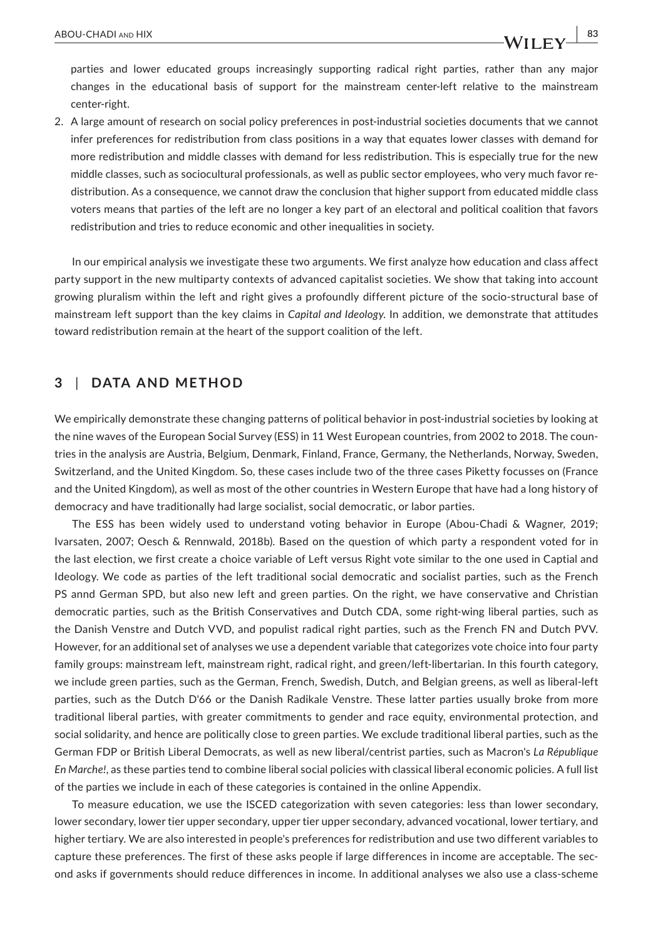parties and lower educated groups increasingly supporting radical right parties, rather than any major changes in the educational basis of support for the mainstream center-left relative to the mainstream center-right.

2. A large amount of research on social policy preferences in post-industrial societies documents that we cannot infer preferences for redistribution from class positions in a way that equates lower classes with demand for more redistribution and middle classes with demand for less redistribution. This is especially true for the new middle classes, such as sociocultural professionals, as well as public sector employees, who very much favor redistribution. As a consequence, we cannot draw the conclusion that higher support from educated middle class voters means that parties of the left are no longer a key part of an electoral and political coalition that favors redistribution and tries to reduce economic and other inequalities in society.

In our empirical analysis we investigate these two arguments. We first analyze how education and class affect party support in the new multiparty contexts of advanced capitalist societies. We show that taking into account growing pluralism within the left and right gives a profoundly different picture of the socio-structural base of mainstream left support than the key claims in *Capital and Ideology*. In addition, we demonstrate that attitudes toward redistribution remain at the heart of the support coalition of the left.

### **3** | **DATA AND METHOD**

We empirically demonstrate these changing patterns of political behavior in post-industrial societies by looking at the nine waves of the European Social Survey (ESS) in 11 West European countries, from 2002 to 2018. The countries in the analysis are Austria, Belgium, Denmark, Finland, France, Germany, the Netherlands, Norway, Sweden, Switzerland, and the United Kingdom. So, these cases include two of the three cases Piketty focusses on (France and the United Kingdom), as well as most of the other countries in Western Europe that have had a long history of democracy and have traditionally had large socialist, social democratic, or labor parties.

The ESS has been widely used to understand voting behavior in Europe (Abou-Chadi & Wagner, 2019; Ivarsaten, 2007; Oesch & Rennwald, 2018b). Based on the question of which party a respondent voted for in the last election, we first create a choice variable of Left versus Right vote similar to the one used in Captial and Ideology. We code as parties of the left traditional social democratic and socialist parties, such as the French PS annd German SPD, but also new left and green parties. On the right, we have conservative and Christian democratic parties, such as the British Conservatives and Dutch CDA, some right-wing liberal parties, such as the Danish Venstre and Dutch VVD, and populist radical right parties, such as the French FN and Dutch PVV. However, for an additional set of analyses we use a dependent variable that categorizes vote choice into four party family groups: mainstream left, mainstream right, radical right, and green/left-libertarian. In this fourth category, we include green parties, such as the German, French, Swedish, Dutch, and Belgian greens, as well as liberal-left parties, such as the Dutch D'66 or the Danish Radikale Venstre. These latter parties usually broke from more traditional liberal parties, with greater commitments to gender and race equity, environmental protection, and social solidarity, and hence are politically close to green parties. We exclude traditional liberal parties, such as the German FDP or British Liberal Democrats, as well as new liberal/centrist parties, such as Macron's *La République En Marche!*, as these parties tend to combine liberal social policies with classical liberal economic policies. A full list of the parties we include in each of these categories is contained in the online Appendix.

To measure education, we use the ISCED categorization with seven categories: less than lower secondary, lower secondary, lower tier upper secondary, upper tier upper secondary, advanced vocational, lower tertiary, and higher tertiary. We are also interested in people's preferences for redistribution and use two different variables to capture these preferences. The first of these asks people if large differences in income are acceptable. The second asks if governments should reduce differences in income. In additional analyses we also use a class-scheme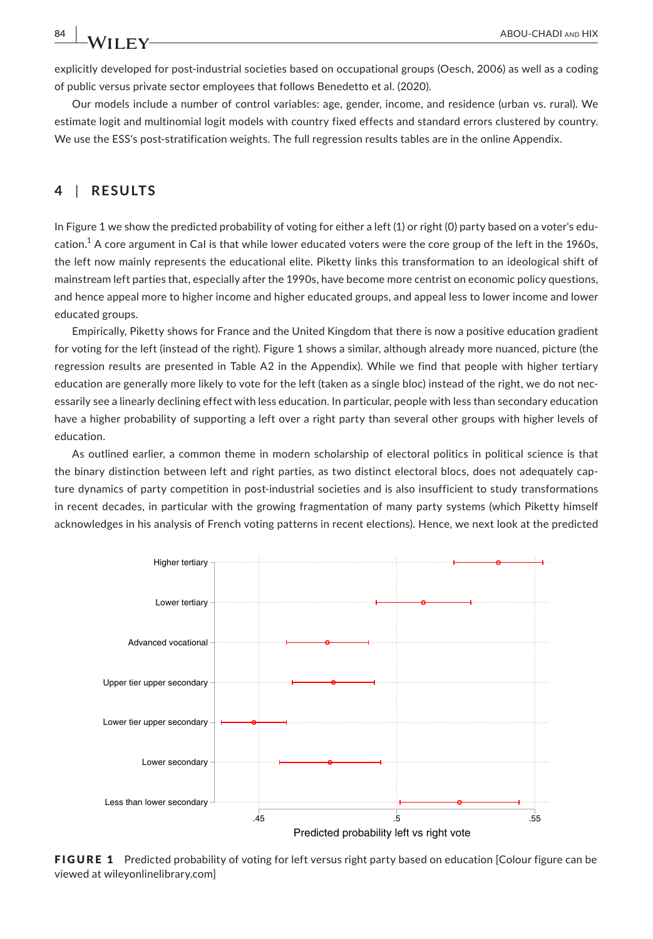explicitly developed for post-industrial societies based on occupational groups (Oesch, 2006) as well as a coding of public versus private sector employees that follows Benedetto et al. (2020).

Our models include a number of control variables: age, gender, income, and residence (urban vs. rural). We estimate logit and multinomial logit models with country fixed effects and standard errors clustered by country. We use the ESS's post-stratification weights. The full regression results tables are in the online Appendix.

### **4** | **RESULTS**

In Figure 1 we show the predicted probability of voting for either a left (1) or right (0) party based on a voter's education. $^1$  A core argument in CaI is that while lower educated voters were the core group of the left in the 1960s, the left now mainly represents the educational elite. Piketty links this transformation to an ideological shift of mainstream left parties that, especially after the 1990s, have become more centrist on economic policy questions, and hence appeal more to higher income and higher educated groups, and appeal less to lower income and lower educated groups.

Empirically, Piketty shows for France and the United Kingdom that there is now a positive education gradient for voting for the left (instead of the right). Figure 1 shows a similar, although already more nuanced, picture (the regression results are presented in Table A2 in the Appendix). While we find that people with higher tertiary education are generally more likely to vote for the left (taken as a single bloc) instead of the right, we do not necessarily see a linearly declining effect with less education. In particular, people with less than secondary education have a higher probability of supporting a left over a right party than several other groups with higher levels of education.

As outlined earlier, a common theme in modern scholarship of electoral politics in political science is that the binary distinction between left and right parties, as two distinct electoral blocs, does not adequately capture dynamics of party competition in post-industrial societies and is also insufficient to study transformations in recent decades, in particular with the growing fragmentation of many party systems (which Piketty himself acknowledges in his analysis of French voting patterns in recent elections). Hence, we next look at the predicted



FIGURE 1 Predicted probability of voting for left versus right party based on education [Colour figure can be viewed at [wileyonlinelibrary.com](www.wileyonlinelibrary.com)]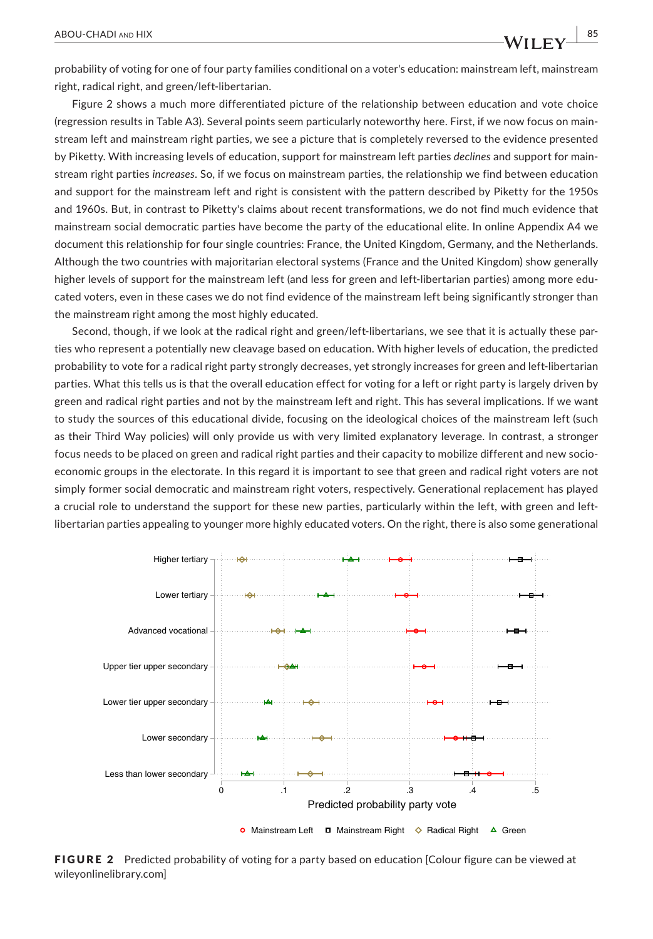probability of voting for one of four party families conditional on a voter's education: mainstream left, mainstream right, radical right, and green/left-libertarian.

Figure 2 shows a much more differentiated picture of the relationship between education and vote choice (regression results in Table A3). Several points seem particularly noteworthy here. First, if we now focus on mainstream left and mainstream right parties, we see a picture that is completely reversed to the evidence presented by Piketty. With increasing levels of education, support for mainstream left parties *declines* and support for mainstream right parties *increases*. So, if we focus on mainstream parties, the relationship we find between education and support for the mainstream left and right is consistent with the pattern described by Piketty for the 1950s and 1960s. But, in contrast to Piketty's claims about recent transformations, we do not find much evidence that mainstream social democratic parties have become the party of the educational elite. In online Appendix A4 we document this relationship for four single countries: France, the United Kingdom, Germany, and the Netherlands. Although the two countries with majoritarian electoral systems (France and the United Kingdom) show generally higher levels of support for the mainstream left (and less for green and left-libertarian parties) among more educated voters, even in these cases we do not find evidence of the mainstream left being significantly stronger than the mainstream right among the most highly educated.

Second, though, if we look at the radical right and green/left-libertarians, we see that it is actually these parties who represent a potentially new cleavage based on education. With higher levels of education, the predicted probability to vote for a radical right party strongly decreases, yet strongly increases for green and left-libertarian parties. What this tells us is that the overall education effect for voting for a left or right party is largely driven by green and radical right parties and not by the mainstream left and right. This has several implications. If we want to study the sources of this educational divide, focusing on the ideological choices of the mainstream left (such as their Third Way policies) will only provide us with very limited explanatory leverage. In contrast, a stronger focus needs to be placed on green and radical right parties and their capacity to mobilize different and new socioeconomic groups in the electorate. In this regard it is important to see that green and radical right voters are not simply former social democratic and mainstream right voters, respectively. Generational replacement has played a crucial role to understand the support for these new parties, particularly within the left, with green and leftlibertarian parties appealing to younger more highly educated voters. On the right, there is also some generational



FIGURE 2 Predicted probability of voting for a party based on education [Colour figure can be viewed at [wileyonlinelibrary.com](www.wileyonlinelibrary.com)]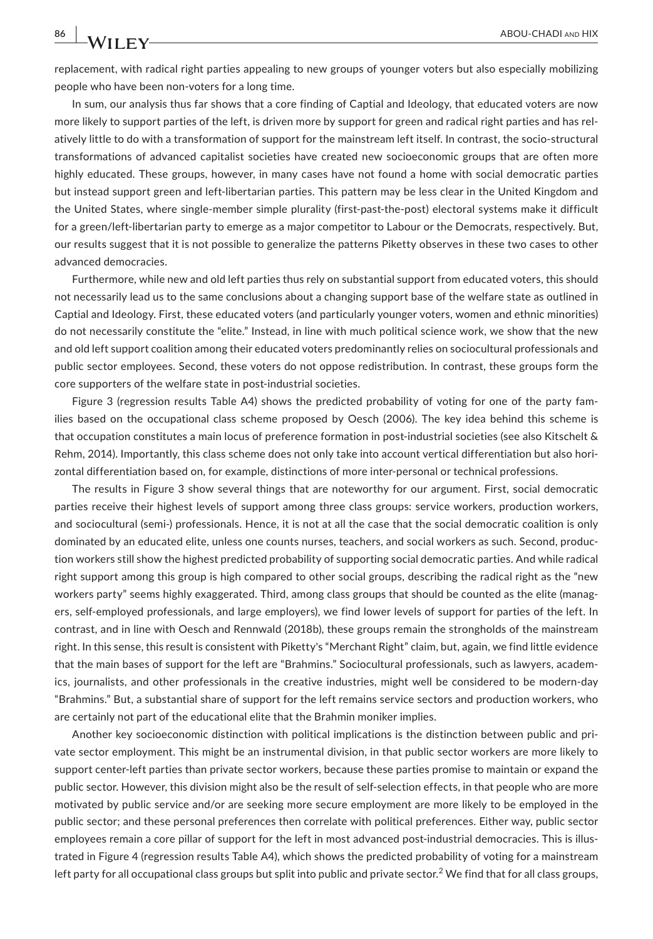replacement, with radical right parties appealing to new groups of younger voters but also especially mobilizing people who have been non-voters for a long time.

In sum, our analysis thus far shows that a core finding of Captial and Ideology, that educated voters are now more likely to support parties of the left, is driven more by support for green and radical right parties and has relatively little to do with a transformation of support for the mainstream left itself. In contrast, the socio-structural transformations of advanced capitalist societies have created new socioeconomic groups that are often more highly educated. These groups, however, in many cases have not found a home with social democratic parties but instead support green and left-libertarian parties. This pattern may be less clear in the United Kingdom and the United States, where single-member simple plurality (first-past-the-post) electoral systems make it difficult for a green/left-libertarian party to emerge as a major competitor to Labour or the Democrats, respectively. But, our results suggest that it is not possible to generalize the patterns Piketty observes in these two cases to other advanced democracies.

Furthermore, while new and old left parties thus rely on substantial support from educated voters, this should not necessarily lead us to the same conclusions about a changing support base of the welfare state as outlined in Captial and Ideology. First, these educated voters (and particularly younger voters, women and ethnic minorities) do not necessarily constitute the "elite." Instead, in line with much political science work, we show that the new and old left support coalition among their educated voters predominantly relies on sociocultural professionals and public sector employees. Second, these voters do not oppose redistribution. In contrast, these groups form the core supporters of the welfare state in post-industrial societies.

Figure 3 (regression results Table A4) shows the predicted probability of voting for one of the party families based on the occupational class scheme proposed by Oesch (2006). The key idea behind this scheme is that occupation constitutes a main locus of preference formation in post-industrial societies (see also Kitschelt & Rehm, 2014). Importantly, this class scheme does not only take into account vertical differentiation but also horizontal differentiation based on, for example, distinctions of more inter-personal or technical professions.

The results in Figure 3 show several things that are noteworthy for our argument. First, social democratic parties receive their highest levels of support among three class groups: service workers, production workers, and sociocultural (semi-) professionals. Hence, it is not at all the case that the social democratic coalition is only dominated by an educated elite, unless one counts nurses, teachers, and social workers as such. Second, production workers still show the highest predicted probability of supporting social democratic parties. And while radical right support among this group is high compared to other social groups, describing the radical right as the "new workers party" seems highly exaggerated. Third, among class groups that should be counted as the elite (managers, self-employed professionals, and large employers), we find lower levels of support for parties of the left. In contrast, and in line with Oesch and Rennwald (2018b), these groups remain the strongholds of the mainstream right. In this sense, this result is consistent with Piketty's "Merchant Right" claim, but, again, we find little evidence that the main bases of support for the left are "Brahmins." Sociocultural professionals, such as lawyers, academics, journalists, and other professionals in the creative industries, might well be considered to be modern-day "Brahmins." But, a substantial share of support for the left remains service sectors and production workers, who are certainly not part of the educational elite that the Brahmin moniker implies.

Another key socioeconomic distinction with political implications is the distinction between public and private sector employment. This might be an instrumental division, in that public sector workers are more likely to support center-left parties than private sector workers, because these parties promise to maintain or expand the public sector. However, this division might also be the result of self-selection effects, in that people who are more motivated by public service and/or are seeking more secure employment are more likely to be employed in the public sector; and these personal preferences then correlate with political preferences. Either way, public sector employees remain a core pillar of support for the left in most advanced post-industrial democracies. This is illustrated in Figure 4 (regression results Table A4), which shows the predicted probability of voting for a mainstream left party for all occupational class groups but split into public and private sector. $^2$  We find that for all class groups,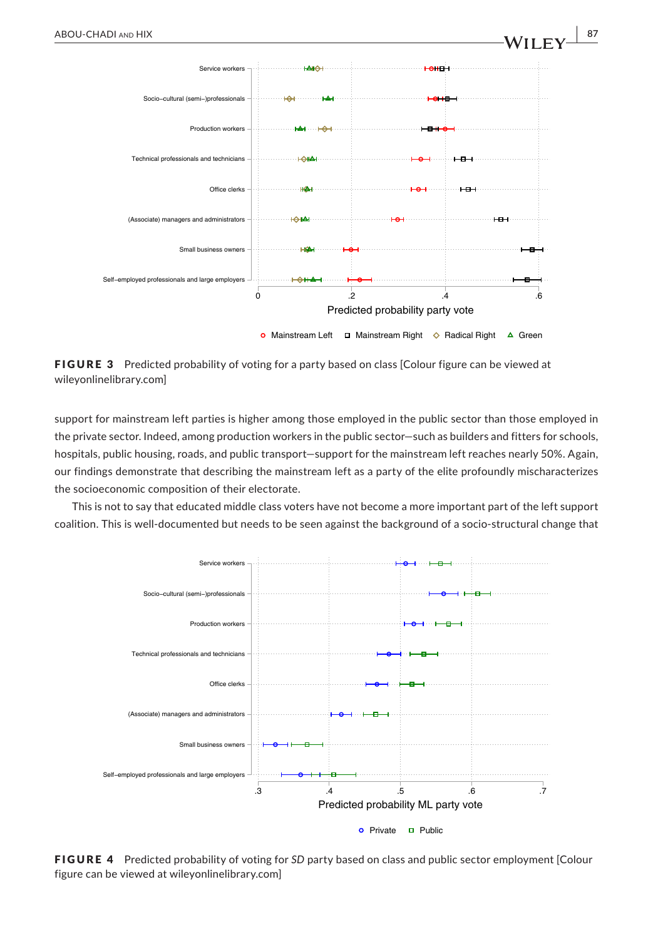

FIGURE 3 Predicted probability of voting for a party based on class [Colour figure can be viewed at [wileyonlinelibrary.com](www.wileyonlinelibrary.com)]

support for mainstream left parties is higher among those employed in the public sector than those employed in the private sector. Indeed, among production workers in the public sector—such as builders and fitters for schools, hospitals, public housing, roads, and public transport—support for the mainstream left reaches nearly 50%. Again, our findings demonstrate that describing the mainstream left as a party of the elite profoundly mischaracterizes the socioeconomic composition of their electorate.

This is not to say that educated middle class voters have not become a more important part of the left support coalition. This is well-documented but needs to be seen against the background of a socio-structural change that



FIGURE 4 Predicted probability of voting for *SD* party based on class and public sector employment [Colour figure can be viewed at [wileyonlinelibrary.com\]](www.wileyonlinelibrary.com)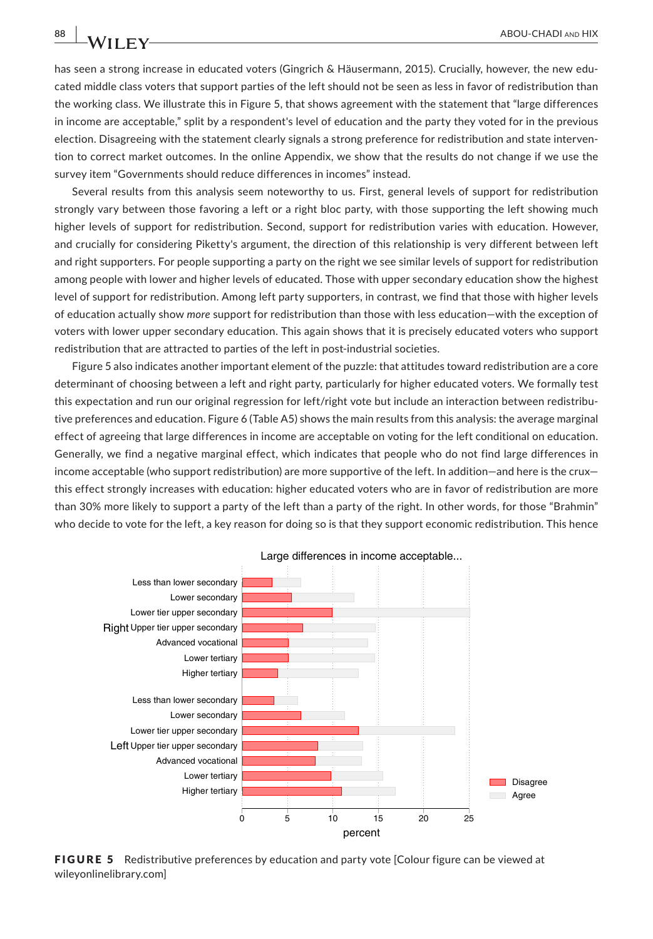has seen a strong increase in educated voters (Gingrich & Häusermann, 2015). Crucially, however, the new educated middle class voters that support parties of the left should not be seen as less in favor of redistribution than the working class. We illustrate this in Figure 5, that shows agreement with the statement that "large differences in income are acceptable," split by a respondent's level of education and the party they voted for in the previous election. Disagreeing with the statement clearly signals a strong preference for redistribution and state intervention to correct market outcomes. In the online Appendix, we show that the results do not change if we use the survey item "Governments should reduce differences in incomes" instead.

Several results from this analysis seem noteworthy to us. First, general levels of support for redistribution strongly vary between those favoring a left or a right bloc party, with those supporting the left showing much higher levels of support for redistribution. Second, support for redistribution varies with education. However, and crucially for considering Piketty's argument, the direction of this relationship is very different between left and right supporters. For people supporting a party on the right we see similar levels of support for redistribution among people with lower and higher levels of educated. Those with upper secondary education show the highest level of support for redistribution. Among left party supporters, in contrast, we find that those with higher levels of education actually show *more* support for redistribution than those with less education—with the exception of voters with lower upper secondary education. This again shows that it is precisely educated voters who support redistribution that are attracted to parties of the left in post-industrial societies.

Figure 5 also indicates another important element of the puzzle: that attitudes toward redistribution are a core determinant of choosing between a left and right party, particularly for higher educated voters. We formally test this expectation and run our original regression for left/right vote but include an interaction between redistributive preferences and education. Figure 6 (Table A5) shows the main results from this analysis: the average marginal effect of agreeing that large differences in income are acceptable on voting for the left conditional on education. Generally, we find a negative marginal effect, which indicates that people who do not find large differences in income acceptable (who support redistribution) are more supportive of the left. In addition—and here is the crux this effect strongly increases with education: higher educated voters who are in favor of redistribution are more than 30% more likely to support a party of the left than a party of the right. In other words, for those "Brahmin" who decide to vote for the left, a key reason for doing so is that they support economic redistribution. This hence



Large differences in income acceptable...

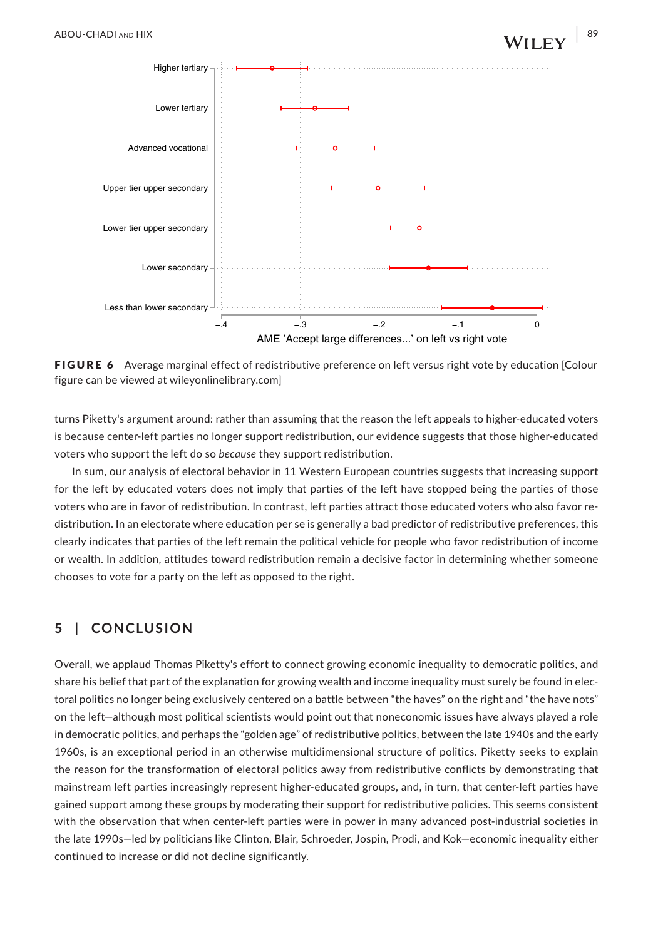

FIGURE 6 Average marginal effect of redistributive preference on left versus right vote by education [Colour figure can be viewed at [wileyonlinelibrary.com\]](www.wileyonlinelibrary.com)

turns Piketty's argument around: rather than assuming that the reason the left appeals to higher-educated voters is because center-left parties no longer support redistribution, our evidence suggests that those higher-educated voters who support the left do so *because* they support redistribution.

In sum, our analysis of electoral behavior in 11 Western European countries suggests that increasing support for the left by educated voters does not imply that parties of the left have stopped being the parties of those voters who are in favor of redistribution. In contrast, left parties attract those educated voters who also favor redistribution. In an electorate where education per se is generally a bad predictor of redistributive preferences, this clearly indicates that parties of the left remain the political vehicle for people who favor redistribution of income or wealth. In addition, attitudes toward redistribution remain a decisive factor in determining whether someone chooses to vote for a party on the left as opposed to the right.

# **5** | **CONCLUSION**

Overall, we applaud Thomas Piketty's effort to connect growing economic inequality to democratic politics, and share his belief that part of the explanation for growing wealth and income inequality must surely be found in electoral politics no longer being exclusively centered on a battle between "the haves" on the right and "the have nots" on the left—although most political scientists would point out that noneconomic issues have always played a role in democratic politics, and perhaps the "golden age" of redistributive politics, between the late 1940s and the early 1960s, is an exceptional period in an otherwise multidimensional structure of politics. Piketty seeks to explain the reason for the transformation of electoral politics away from redistributive conflicts by demonstrating that mainstream left parties increasingly represent higher-educated groups, and, in turn, that center-left parties have gained support among these groups by moderating their support for redistributive policies. This seems consistent with the observation that when center-left parties were in power in many advanced post-industrial societies in the late 1990s—led by politicians like Clinton, Blair, Schroeder, Jospin, Prodi, and Kok—economic inequality either continued to increase or did not decline significantly.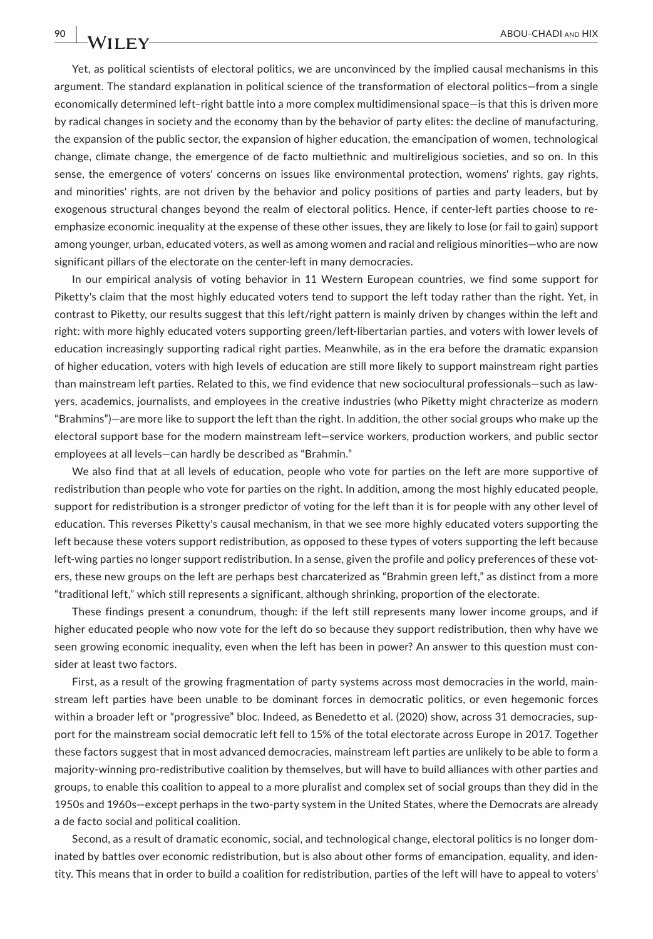Yet, as political scientists of electoral politics, we are unconvinced by the implied causal mechanisms in this argument. The standard explanation in political science of the transformation of electoral politics—from a single economically determined left–right battle into a more complex multidimensional space—is that this is driven more by radical changes in society and the economy than by the behavior of party elites: the decline of manufacturing, the expansion of the public sector, the expansion of higher education, the emancipation of women, technological change, climate change, the emergence of de facto multiethnic and multireligious societies, and so on. In this sense, the emergence of voters' concerns on issues like environmental protection, womens' rights, gay rights, and minorities' rights, are not driven by the behavior and policy positions of parties and party leaders, but by exogenous structural changes beyond the realm of electoral politics. Hence, if center-left parties choose to reemphasize economic inequality at the expense of these other issues, they are likely to lose (or fail to gain) support among younger, urban, educated voters, as well as among women and racial and religious minorities—who are now significant pillars of the electorate on the center-left in many democracies.

In our empirical analysis of voting behavior in 11 Western European countries, we find some support for Piketty's claim that the most highly educated voters tend to support the left today rather than the right. Yet, in contrast to Piketty, our results suggest that this left/right pattern is mainly driven by changes within the left and right: with more highly educated voters supporting green/left-libertarian parties, and voters with lower levels of education increasingly supporting radical right parties. Meanwhile, as in the era before the dramatic expansion of higher education, voters with high levels of education are still more likely to support mainstream right parties than mainstream left parties. Related to this, we find evidence that new sociocultural professionals—such as lawyers, academics, journalists, and employees in the creative industries (who Piketty might chracterize as modern "Brahmins")—are more like to support the left than the right. In addition, the other social groups who make up the electoral support base for the modern mainstream left—service workers, production workers, and public sector employees at all levels—can hardly be described as "Brahmin."

We also find that at all levels of education, people who vote for parties on the left are more supportive of redistribution than people who vote for parties on the right. In addition, among the most highly educated people, support for redistribution is a stronger predictor of voting for the left than it is for people with any other level of education. This reverses Piketty's causal mechanism, in that we see more highly educated voters supporting the left because these voters support redistribution, as opposed to these types of voters supporting the left because left-wing parties no longer support redistribution. In a sense, given the profile and policy preferences of these voters, these new groups on the left are perhaps best charcaterized as "Brahmin green left," as distinct from a more "traditional left," which still represents a significant, although shrinking, proportion of the electorate.

These findings present a conundrum, though: if the left still represents many lower income groups, and if higher educated people who now vote for the left do so because they support redistribution, then why have we seen growing economic inequality, even when the left has been in power? An answer to this question must consider at least two factors.

First, as a result of the growing fragmentation of party systems across most democracies in the world, mainstream left parties have been unable to be dominant forces in democratic politics, or even hegemonic forces within a broader left or "progressive" bloc. Indeed, as Benedetto et al. (2020) show, across 31 democracies, support for the mainstream social democratic left fell to 15% of the total electorate across Europe in 2017. Together these factors suggest that in most advanced democracies, mainstream left parties are unlikely to be able to form a majority-winning pro-redistributive coalition by themselves, but will have to build alliances with other parties and groups, to enable this coalition to appeal to a more pluralist and complex set of social groups than they did in the 1950s and 1960s—except perhaps in the two-party system in the United States, where the Democrats are already a de facto social and political coalition.

Second, as a result of dramatic economic, social, and technological change, electoral politics is no longer dominated by battles over economic redistribution, but is also about other forms of emancipation, equality, and identity. This means that in order to build a coalition for redistribution, parties of the left will have to appeal to voters'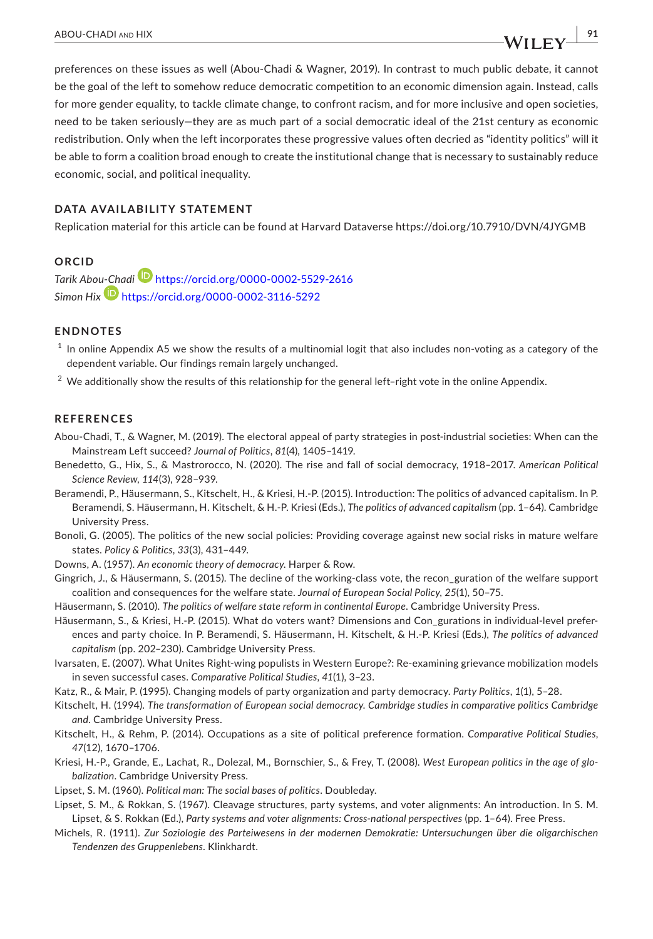preferences on these issues as well (Abou-Chadi & Wagner, 2019). In contrast to much public debate, it cannot be the goal of the left to somehow reduce democratic competition to an economic dimension again. Instead, calls for more gender equality, to tackle climate change, to confront racism, and for more inclusive and open societies, need to be taken seriously—they are as much part of a social democratic ideal of the 21st century as economic redistribution. Only when the left incorporates these progressive values often decried as "identity politics" will it be able to form a coalition broad enough to create the institutional change that is necessary to sustainably reduce economic, social, and political inequality.

#### **DATA AVAILABILITY STATEMENT**

Replication material for this article can be found at Harvard Dataverse <https://doi.org/10.7910/DVN/4JYGMB>

#### **ORCID**

*Tarik Abo[u-Cha](https://orcid.org/0000-0002-3116-5292)d[i](https://orcid.org/0000-0002-5529-2616)* <https://orcid.org/0000-0002-5529-2616> *Simon Hix* <https://orcid.org/0000-0002-3116-5292>

#### **ENDNOTES**

 $1$  In online Appendix A5 we show the results of a multinomial logit that also includes non-voting as a category of the dependent variable. Our findings remain largely unchanged.

 $2$  We additionally show the results of this relationship for the general left-right vote in the online Appendix.

#### **REFERENCES**

- Abou-Chadi, T., & Wagner, M. (2019). The electoral appeal of party strategies in post-industrial societies: When can the Mainstream Left succeed? *Journal of Politics*, *81*(4), 1405–1419.
- Benedetto, G., Hix, S., & Mastrorocco, N. (2020). The rise and fall of social democracy, 1918–2017. *American Political Science Review*, *114*(3), 928–939.
- Beramendi, P., Häusermann, S., Kitschelt, H., & Kriesi, H.-P. (2015). Introduction: The politics of advanced capitalism. In P. Beramendi, S. Häusermann, H. Kitschelt, & H.-P. Kriesi (Eds.), *The politics of advanced capitalism* (pp. 1–64). Cambridge University Press.
- Bonoli, G. (2005). The politics of the new social policies: Providing coverage against new social risks in mature welfare states. *Policy & Politics*, *33*(3), 431–449.
- Downs, A. (1957). *An economic theory of democracy*. Harper & Row.
- Gingrich, J., & Häusermann, S. (2015). The decline of the working-class vote, the recon\_guration of the welfare support coalition and consequences for the welfare state. *Journal of European Social Policy*, *25*(1), 50–75.
- Häusermann, S. (2010). *The politics of welfare state reform in continental Europe*. Cambridge University Press.
- Häusermann, S., & Kriesi, H.-P. (2015). What do voters want? Dimensions and Con\_gurations in individual-level preferences and party choice. In P. Beramendi, S. Häusermann, H. Kitschelt, & H.-P. Kriesi (Eds.), *The politics of advanced capitalism* (pp. 202–230). Cambridge University Press.
- Ivarsaten, E. (2007). What Unites Right-wing populists in Western Europe?: Re-examining grievance mobilization models in seven successful cases. *Comparative Political Studies*, *41*(1), 3–23.
- Katz, R., & Mair, P. (1995). Changing models of party organization and party democracy. *Party Politics*, *1*(1), 5–28.
- Kitschelt, H. (1994). *The transformation of European social democracy. Cambridge studies in comparative politics Cambridge and*. Cambridge University Press.
- Kitschelt, H., & Rehm, P. (2014). Occupations as a site of political preference formation. *Comparative Political Studies*, *47*(12), 1670–1706.
- Kriesi, H.-P., Grande, E., Lachat, R., Dolezal, M., Bornschier, S., & Frey, T. (2008). *West European politics in the age of globalization*. Cambridge University Press.
- Lipset, S. M. (1960). *Political man: The social bases of politics*. Doubleday.
- Lipset, S. M., & Rokkan, S. (1967). Cleavage structures, party systems, and voter alignments: An introduction, In S. M. Lipset, & S. Rokkan (Ed.), *Party systems and voter alignments: Cross-national perspectives* (pp. 1–64). Free Press.
- Michels, R. (1911). *Zur Soziologie des Parteiwesens in der modernen Demokratie: Untersuchungen über die oligarchischen Tendenzen des Gruppenlebens*. Klinkhardt.